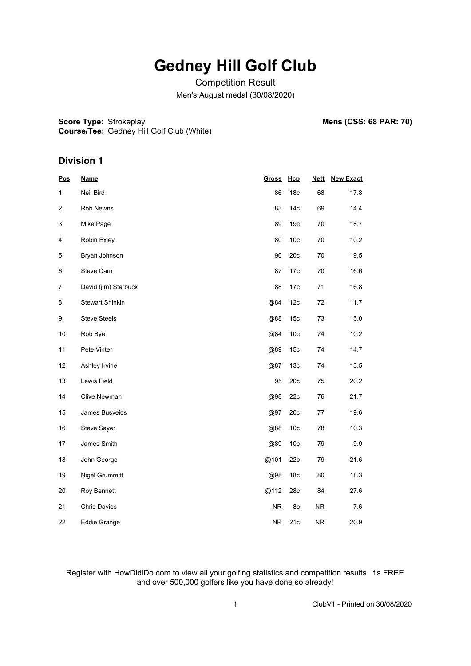Competition Result Men's August medal (30/08/2020)

**Score Type: Strokeplay Course/Tee:** Gedney Hill Golf Club (White) **Mens (CSS: 68 PAR: 70)** 

#### **Division 1**

| <b>Pos</b>   | <b>Name</b>            | <b>Gross</b> | Hcp             | <b>Nett</b> | <b>New Exact</b> |
|--------------|------------------------|--------------|-----------------|-------------|------------------|
| $\mathbf{1}$ | Neil Bird              | 86           | 18 <sub>c</sub> | 68          | 17.8             |
| 2            | Rob Newns              | 83           | 14 <sub>c</sub> | 69          | 14.4             |
| 3            | Mike Page              | 89           | 19 <sub>c</sub> | 70          | 18.7             |
| 4            | Robin Exley            | 80           | 10 <sub>c</sub> | 70          | 10.2             |
| 5            | Bryan Johnson          | 90           | 20c             | 70          | 19.5             |
| 6            | Steve Carn             | 87           | 17c             | 70          | 16.6             |
| 7            | David (jim) Starbuck   | 88           | 17c             | 71          | 16.8             |
| 8            | <b>Stewart Shinkin</b> | @84          | 12c             | 72          | 11.7             |
| 9            | <b>Steve Steels</b>    | @88          | 15 <sub>c</sub> | 73          | 15.0             |
| 10           | Rob Bye                | @84          | 10 <sub>c</sub> | 74          | 10.2             |
| 11           | Pete Vinter            | @89          | 15 <sub>c</sub> | 74          | 14.7             |
| 12           | Ashley Irvine          | @87          | 13 <sub>c</sub> | 74          | 13.5             |
| 13           | Lewis Field            | 95           | 20c             | 75          | 20.2             |
| 14           | Clive Newman           | @98          | 22c             | 76          | 21.7             |
| 15           | James Busveids         | @97          | 20c             | 77          | 19.6             |
| 16           | Steve Sayer            | @88          | 10 <sub>c</sub> | 78          | 10.3             |
| 17           | James Smith            | @89          | 10 <sub>c</sub> | 79          | 9.9              |
| 18           | John George            | @101         | 22c             | 79          | 21.6             |
| 19           | Nigel Grummitt         | @98          | 18 <sub>c</sub> | 80          | 18.3             |
| 20           | Roy Bennett            | @112         | 28c             | 84          | 27.6             |
| 21           | <b>Chris Davies</b>    | <b>NR</b>    | 8c              | <b>NR</b>   | 7.6              |
| 22           | Eddie Grange           | <b>NR</b>    | 21c             | <b>NR</b>   | 20.9             |

Register with HowDidiDo.com to view all your golfing statistics and competition results. It's FREE and over 500,000 golfers like you have done so already!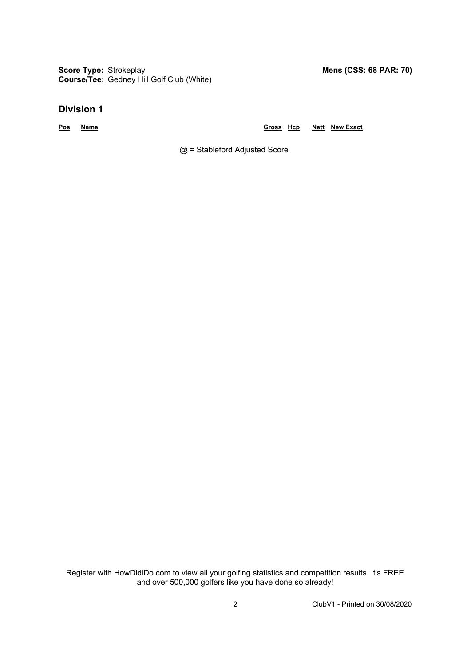**Score Type: Strokeplay Course/Tee:** Gedney Hill Golf Club (White)

**Division 1**

**Pos Name Gross Hcp Nett New Exact**

@ = Stableford Adjusted Score

Register with HowDidiDo.com to view all your golfing statistics and competition results. It's FREE and over 500,000 golfers like you have done so already!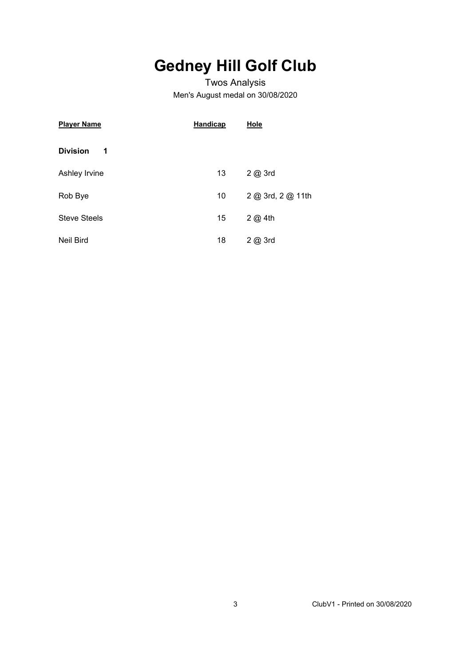### Twos Analysis Men's August medal on 30/08/2020

| <b>Player Name</b>   | <b>Handicap</b> | <b>Hole</b>       |  |  |  |  |  |
|----------------------|-----------------|-------------------|--|--|--|--|--|
| <b>Division</b><br>1 |                 |                   |  |  |  |  |  |
| Ashley Irvine        | 13              | 2 @ 3rd           |  |  |  |  |  |
| Rob Bye              | 10              | 2 @ 3rd, 2 @ 11th |  |  |  |  |  |
| <b>Steve Steels</b>  | 15              | 2@4th             |  |  |  |  |  |
| Neil Bird            | 18              | 2@3rd             |  |  |  |  |  |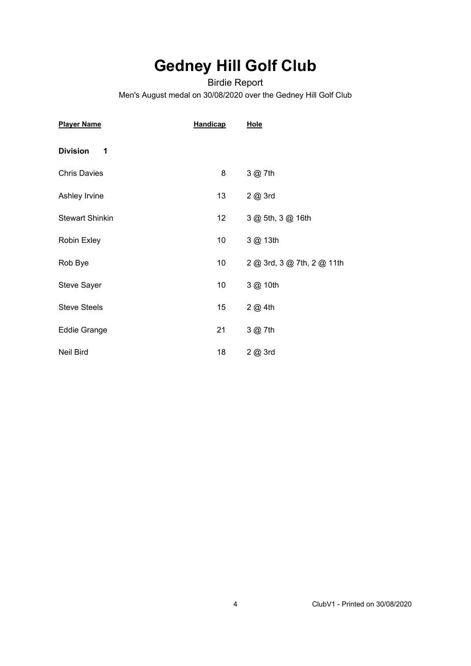Birdie Report Men's August medal on 30/08/2020 over the Gedney Hill Golf Club

| <b>Player Name</b>     | <b>Handicap</b> | Hole                       |
|------------------------|-----------------|----------------------------|
| <b>Division</b><br>1   |                 |                            |
| <b>Chris Davies</b>    | 8               | 3 @ 7th                    |
| Ashley Irvine          | 13              | 2 @ 3rd                    |
| <b>Stewart Shinkin</b> | 12 <sub>2</sub> | 3 @ 5th, 3 @ 16th          |
| Robin Exley            | 10              | 3 @ 13th                   |
| Rob Bye                | 10 <sup>°</sup> | 2 @ 3rd, 3 @ 7th, 2 @ 11th |
| <b>Steve Sayer</b>     | 10 <sup>°</sup> | 3 @ 10th                   |
| <b>Steve Steels</b>    | 15              | 2 @ 4th                    |
| Eddie Grange           | 21              | 3 @ 7th                    |
| Neil Bird              | 18              | 2 @ 3rd                    |